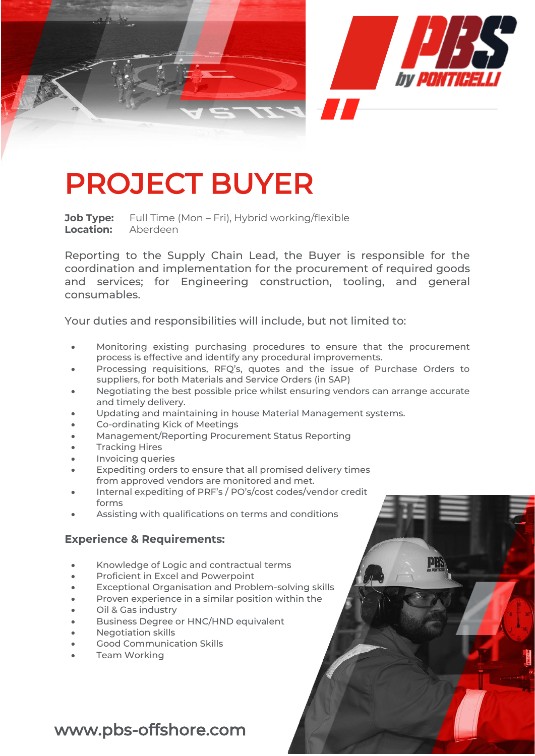

## PROJECT BUYER

**Job Type:** Full Time (Mon – Fri), Hybrid working/flexible **Location:** Aberdeen

Reporting to the Supply Chain Lead, the Buyer is responsible for the coordination and implementation for the procurement of required goods and services; for Engineering construction, tooling, and general consumables.

Your duties and responsibilities will include, but not limited to:

- Monitoring existing purchasing procedures to ensure that the procurement process is effective and identify any procedural improvements.
- Processing requisitions, RFQ's, quotes and the issue of Purchase Orders to suppliers, for both Materials and Service Orders (in SAP)
- Negotiating the best possible price whilst ensuring vendors can arrange accurate and timely delivery.
- Updating and maintaining in house Material Management systems.
- Co-ordinating Kick of Meetings
- Management/Reporting Procurement Status Reporting
- **Tracking Hires**
- Invoicing queries
- Expediting orders to ensure that all promised delivery times from approved vendors are monitored and met.
- Internal expediting of PRF's / PO's/cost codes/vendor credit forms
- Assisting with qualifications on terms and conditions

## **Experience & Requirements:**

- Knowledge of Logic and contractual terms
- Proficient in Excel and Powerpoint
- Exceptional Organisation and Problem-solving skills
- Proven experience in a similar position within the
- Oil & Gas industry
- Business Degree or HNC/HND equivalent
- Negotiation skills
- Good Communication Skills
- Team Working

## www.pbs-offshore.com